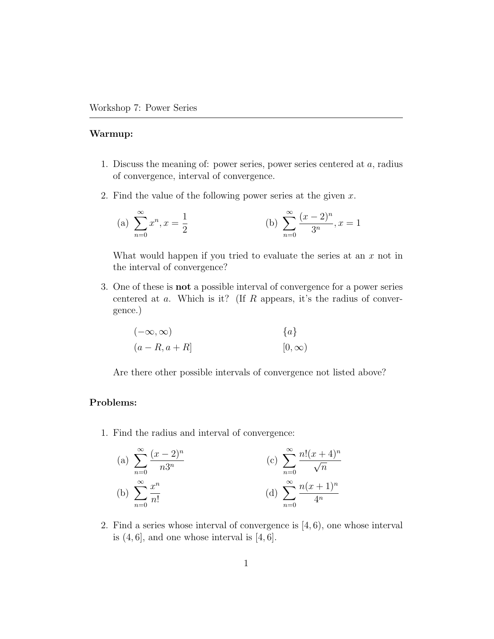## Warmup:

- 1. Discuss the meaning of: power series, power series centered at  $a$ , radius of convergence, interval of convergence.
- 2. Find the value of the following power series at the given  $x$ .

(a) 
$$
\sum_{n=0}^{\infty} x^n, x = \frac{1}{2}
$$
 (b)  $\sum_{n=0}^{\infty} \frac{(x-2)^n}{3^n}, x = 1$ 

What would happen if you tried to evaluate the series at an  $x$  not in the interval of convergence?

3. One of these is not a possible interval of convergence for a power series centered at  $a$ . Which is it? (If  $R$  appears, it's the radius of convergence.)

$$
(-\infty, \infty)
$$
  
\n
$$
(a - R, a + R]
$$
  
\n
$$
[0, \infty)
$$

Are there other possible intervals of convergence not listed above?

## Problems:

1. Find the radius and interval of convergence:

(a) 
$$
\sum_{n=0}^{\infty} \frac{(x-2)^n}{n3^n}
$$
 (c)  $\sum_{n=0}^{\infty} \frac{n!(x+4)^n}{\sqrt{n}}$   
\n(b)  $\sum_{n=0}^{\infty} \frac{x^n}{n!}$  (d)  $\sum_{n=0}^{\infty} \frac{n(x+1)^n}{4^n}$ 

2. Find a series whose interval of convergence is [4, 6), one whose interval is  $(4, 6]$ , and one whose interval is  $[4, 6]$ .